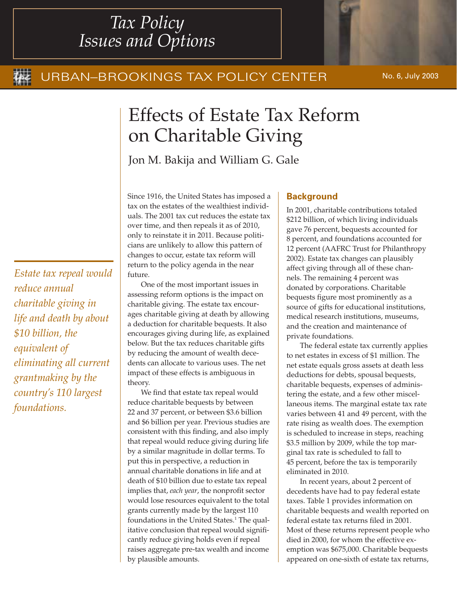# *Tax Policy Issues and Options*

# URBAN–BROOKINGS TAX POLICY CENTER No. 6, July 2003

# Effects of Estate Tax Reform on Charitable Giving

Jon M. Bakija and William G. Gale

Since 1916, the United States has imposed a tax on the estates of the wealthiest individuals. The 2001 tax cut reduces the estate tax over time, and then repeals it as of 2010, only to reinstate it in 2011. Because politicians are unlikely to allow this pattern of changes to occur, estate tax reform will return to the policy agenda in the near future.

One of the most important issues in assessing reform options is the impact on charitable giving. The estate tax encourages charitable giving at death by allowing a deduction for charitable bequests. It also encourages giving during life, as explained below. But the tax reduces charitable gifts by reducing the amount of wealth decedents can allocate to various uses. The net impact of these effects is ambiguous in theory.

We find that estate tax repeal would reduce charitable bequests by between 22 and 37 percent, or between \$3.6 billion and \$6 billion per year. Previous studies are consistent with this finding, and also imply that repeal would reduce giving during life by a similar magnitude in dollar terms. To put this in perspective, a reduction in annual charitable donations in life and at death of \$10 billion due to estate tax repeal implies that, *each year*, the nonprofit sector would lose resources equivalent to the total grants currently made by the largest 110 foundations in the United States.<sup>1</sup> The qualitative conclusion that repeal would significantly reduce giving holds even if repeal raises aggregate pre-tax wealth and income by plausible amounts.

# **Background**

In 2001, charitable contributions totaled \$212 billion, of which living individuals gave 76 percent, bequests accounted for 8 percent, and foundations accounted for 12 percent (AAFRC Trust for Philanthropy 2002). Estate tax changes can plausibly affect giving through all of these channels. The remaining 4 percent was donated by corporations. Charitable bequests figure most prominently as a source of gifts for educational institutions, medical research institutions, museums, and the creation and maintenance of private foundations.

The federal estate tax currently applies to net estates in excess of \$1 million. The net estate equals gross assets at death less deductions for debts, spousal bequests, charitable bequests, expenses of administering the estate, and a few other miscellaneous items. The marginal estate tax rate varies between 41 and 49 percent, with the rate rising as wealth does. The exemption is scheduled to increase in steps, reaching \$3.5 million by 2009, while the top marginal tax rate is scheduled to fall to 45 percent, before the tax is temporarily eliminated in 2010.

In recent years, about 2 percent of decedents have had to pay federal estate taxes. Table 1 provides information on charitable bequests and wealth reported on federal estate tax returns filed in 2001. Most of these returns represent people who died in 2000, for whom the effective exemption was \$675,000. Charitable bequests appeared on one-sixth of estate tax returns,

*Estate tax repeal would reduce annual charitable giving in life and death by about \$10 billion, the equivalent of eliminating all current grantmaking by the country's 110 largest foundations.*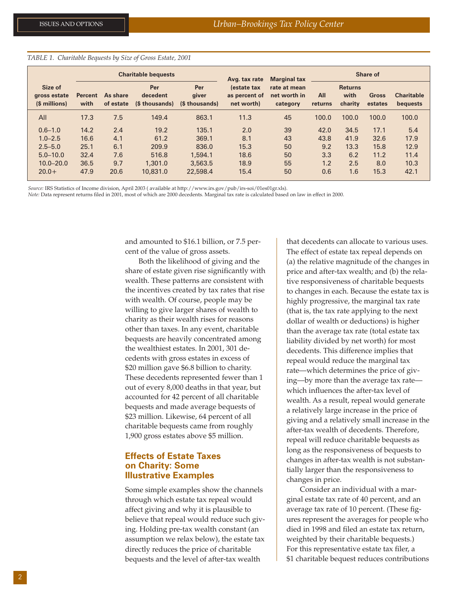*TABLE 1. Charitable Bequests by Size of Gross Estate, 2001*

|                                          | <b>Charitable bequests</b> |                       |                                   |                                | Avg. tax rate                              | <b>Marginal tax</b>                      | Share of       |                                   |                         |                               |
|------------------------------------------|----------------------------|-----------------------|-----------------------------------|--------------------------------|--------------------------------------------|------------------------------------------|----------------|-----------------------------------|-------------------------|-------------------------------|
| Size of<br>gross estate<br>(\$ millions) | <b>Percent</b><br>with     | As share<br>of estate | Per<br>decedent<br>(\$ thousands) | Per<br>giver<br>(\$ thousands) | lestate tax<br>as percent of<br>net worth) | rate at mean<br>net worth in<br>category | All<br>returns | <b>Returns</b><br>with<br>charity | <b>Gross</b><br>estates | <b>Charitable</b><br>bequests |
| All                                      | 17.3                       | 7.5                   | 149.4                             | 863.1                          | 11.3                                       | 45                                       | 100.0          | 100.0                             | 100.0                   | 100.0                         |
| $0.6 - 1.0$                              | 14.2                       | 2.4                   | 19.2                              | 135.1                          | 2.0                                        | 39                                       | 42.0           | 34.5                              | 17.1                    | 5.4                           |
| $1.0 - 2.5$                              | 16.6                       | 4.1                   | 61.2                              | 369.1                          | 8.1                                        | 43                                       | 43.8           | 41.9                              | 32.6                    | 17.9                          |
| $2.5 - 5.0$                              | 25.1                       | 6.1                   | 209.9                             | 836.0                          | 15.3                                       | 50                                       | 9.2            | 13.3                              | 15.8                    | 12.9                          |
| $5.0 - 10.0$                             | 32.4                       | 7.6                   | 516.8                             | 1,594.1                        | 18.6                                       | 50                                       | 3.3            | 6.2                               | 11.2                    | 11.4                          |
| $10.0 - 20.0$                            | 36.5                       | 9.7                   | 1,301.0                           | 3,563,5                        | 18.9                                       | 55                                       | 1.2            | 2.5                               | 8.0                     | 10.3                          |
| $20.0+$                                  | 47.9                       | 20.6                  | 10,831.0                          | 22,598.4                       | 15.4                                       | 50                                       | 0.6            | 1.6                               | 15.3                    | 42.1                          |

*Source:* IRS Statistics of Income division, April 2003 ( available at http://www.irs.gov/pub/irs-soi/01es01gr.xls).

*Note:* Data represent returns filed in 2001, most of which are 2000 decedents. Marginal tax rate is calculated based on law in effect in 2000.

and amounted to \$16.1 billion, or 7.5 percent of the value of gross assets.

Both the likelihood of giving and the share of estate given rise significantly with wealth. These patterns are consistent with the incentives created by tax rates that rise with wealth. Of course, people may be willing to give larger shares of wealth to charity as their wealth rises for reasons other than taxes. In any event, charitable bequests are heavily concentrated among the wealthiest estates. In 2001, 301 decedents with gross estates in excess of \$20 million gave \$6.8 billion to charity. These decedents represented fewer than 1 out of every 8,000 deaths in that year, but accounted for 42 percent of all charitable bequests and made average bequests of \$23 million. Likewise, 64 percent of all charitable bequests came from roughly 1,900 gross estates above \$5 million.

## **Effects of Estate Taxes on Charity: Some Illustrative Examples**

Some simple examples show the channels through which estate tax repeal would affect giving and why it is plausible to believe that repeal would reduce such giving. Holding pre-tax wealth constant (an assumption we relax below), the estate tax directly reduces the price of charitable bequests and the level of after-tax wealth

that decedents can allocate to various uses. The effect of estate tax repeal depends on (a) the relative magnitude of the changes in price and after-tax wealth; and (b) the relative responsiveness of charitable bequests to changes in each. Because the estate tax is highly progressive, the marginal tax rate (that is, the tax rate applying to the next dollar of wealth or deductions) is higher than the average tax rate (total estate tax liability divided by net worth) for most decedents. This difference implies that repeal would reduce the marginal tax rate—which determines the price of giving—by more than the average tax rate which influences the after-tax level of wealth. As a result, repeal would generate a relatively large increase in the price of giving and a relatively small increase in the after-tax wealth of decedents. Therefore, repeal will reduce charitable bequests as long as the responsiveness of bequests to changes in after-tax wealth is not substantially larger than the responsiveness to changes in price.

Consider an individual with a marginal estate tax rate of 40 percent, and an average tax rate of 10 percent. (These figures represent the averages for people who died in 1998 and filed an estate tax return, weighted by their charitable bequests.) For this representative estate tax filer, a \$1 charitable bequest reduces contributions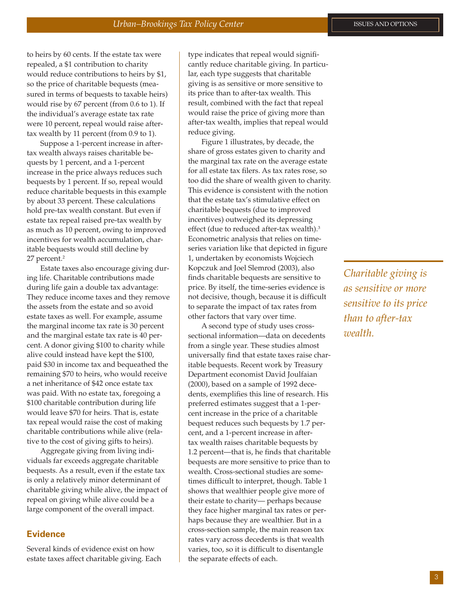to heirs by 60 cents. If the estate tax were repealed, a \$1 contribution to charity would reduce contributions to heirs by \$1, so the price of charitable bequests (measured in terms of bequests to taxable heirs) would rise by 67 percent (from 0.6 to 1). If the individual's average estate tax rate were 10 percent, repeal would raise aftertax wealth by 11 percent (from 0.9 to 1).

Suppose a 1-percent increase in aftertax wealth always raises charitable bequests by 1 percent, and a 1-percent increase in the price always reduces such bequests by 1 percent. If so, repeal would reduce charitable bequests in this example by about 33 percent. These calculations hold pre-tax wealth constant. But even if estate tax repeal raised pre-tax wealth by as much as 10 percent, owing to improved incentives for wealth accumulation, charitable bequests would still decline by 27 percent.2

Estate taxes also encourage giving during life. Charitable contributions made during life gain a double tax advantage: They reduce income taxes and they remove the assets from the estate and so avoid estate taxes as well. For example, assume the marginal income tax rate is 30 percent and the marginal estate tax rate is 40 percent. A donor giving \$100 to charity while alive could instead have kept the \$100, paid \$30 in income tax and bequeathed the remaining \$70 to heirs, who would receive a net inheritance of \$42 once estate tax was paid. With no estate tax, foregoing a \$100 charitable contribution during life would leave \$70 for heirs. That is, estate tax repeal would raise the cost of making charitable contributions while alive (relative to the cost of giving gifts to heirs).

Aggregate giving from living individuals far exceeds aggregate charitable bequests. As a result, even if the estate tax is only a relatively minor determinant of charitable giving while alive, the impact of repeal on giving while alive could be a large component of the overall impact.

#### **Evidence**

Several kinds of evidence exist on how estate taxes affect charitable giving. Each

type indicates that repeal would significantly reduce charitable giving. In particular, each type suggests that charitable giving is as sensitive or more sensitive to its price than to after-tax wealth. This result, combined with the fact that repeal would raise the price of giving more than after-tax wealth, implies that repeal would reduce giving.

Figure 1 illustrates, by decade, the share of gross estates given to charity and the marginal tax rate on the average estate for all estate tax filers. As tax rates rose, so too did the share of wealth given to charity. This evidence is consistent with the notion that the estate tax's stimulative effect on charitable bequests (due to improved incentives) outweighed its depressing effect (due to reduced after-tax wealth).<sup>3</sup> Econometric analysis that relies on timeseries variation like that depicted in figure 1, undertaken by economists Wojciech Kopczuk and Joel Slemrod (2003), also finds charitable bequests are sensitive to price. By itself, the time-series evidence is not decisive, though, because it is difficult to separate the impact of tax rates from other factors that vary over time.

A second type of study uses crosssectional information—data on decedents from a single year. These studies almost universally find that estate taxes raise charitable bequests. Recent work by Treasury Department economist David Joulfaian (2000), based on a sample of 1992 decedents, exemplifies this line of research. His preferred estimates suggest that a 1-percent increase in the price of a charitable bequest reduces such bequests by 1.7 percent, and a 1-percent increase in aftertax wealth raises charitable bequests by 1.2 percent—that is, he finds that charitable bequests are more sensitive to price than to wealth. Cross-sectional studies are sometimes difficult to interpret, though. Table 1 shows that wealthier people give more of their estate to charity— perhaps because they face higher marginal tax rates or perhaps because they are wealthier. But in a cross-section sample, the main reason tax rates vary across decedents is that wealth varies, too, so it is difficult to disentangle the separate effects of each.

*Charitable giving is as sensitive or more sensitive to its price than to after-tax wealth.*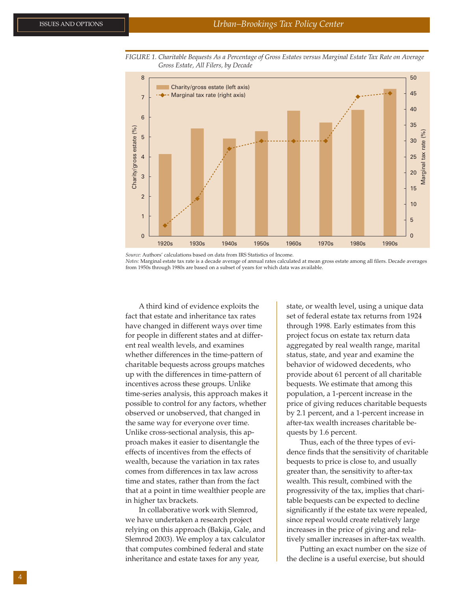

*FIGURE 1. Charitable Bequests As a Percentage of Gross Estates versus Marginal Estate Tax Rate on Average Gross Estate, All Filers, by Decade*

*Source:* Authors' calculations based on data from IRS Statistics of Income.

*Notes:* Marginal estate tax rate is a decade average of annual rates calculated at mean gross estate among all filers. Decade averages from 1950s through 1980s are based on a subset of years for which data was available.

A third kind of evidence exploits the fact that estate and inheritance tax rates have changed in different ways over time for people in different states and at different real wealth levels, and examines whether differences in the time-pattern of charitable bequests across groups matches up with the differences in time-pattern of incentives across these groups. Unlike time-series analysis, this approach makes it possible to control for any factors, whether observed or unobserved, that changed in the same way for everyone over time. Unlike cross-sectional analysis, this approach makes it easier to disentangle the effects of incentives from the effects of wealth, because the variation in tax rates comes from differences in tax law across time and states, rather than from the fact that at a point in time wealthier people are in higher tax brackets.

In collaborative work with Slemrod, we have undertaken a research project relying on this approach (Bakija, Gale, and Slemrod 2003). We employ a tax calculator that computes combined federal and state inheritance and estate taxes for any year,

state, or wealth level, using a unique data set of federal estate tax returns from 1924 through 1998. Early estimates from this project focus on estate tax return data aggregated by real wealth range, marital status, state, and year and examine the behavior of widowed decedents, who provide about 61 percent of all charitable bequests. We estimate that among this population, a 1-percent increase in the price of giving reduces charitable bequests by 2.1 percent, and a 1-percent increase in after-tax wealth increases charitable bequests by 1.6 percent.

Thus, each of the three types of evidence finds that the sensitivity of charitable bequests to price is close to, and usually greater than, the sensitivity to after-tax wealth. This result, combined with the progressivity of the tax, implies that charitable bequests can be expected to decline significantly if the estate tax were repealed, since repeal would create relatively large increases in the price of giving and relatively smaller increases in after-tax wealth.

Putting an exact number on the size of the decline is a useful exercise, but should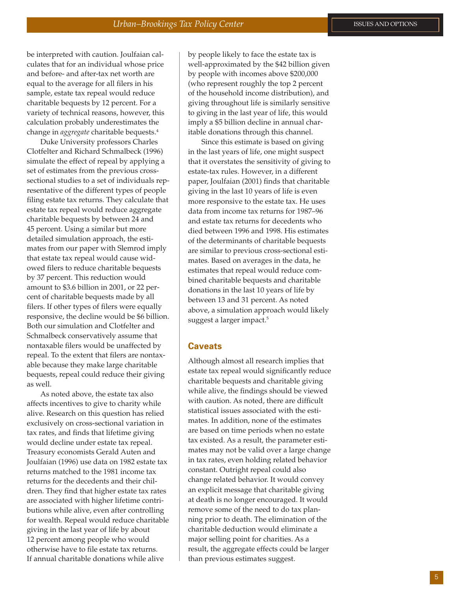be interpreted with caution. Joulfaian calculates that for an individual whose price and before- and after-tax net worth are equal to the average for all filers in his sample, estate tax repeal would reduce charitable bequests by 12 percent. For a variety of technical reasons, however, this calculation probably underestimates the change in *aggregate* charitable bequests.4

Duke University professors Charles Clotfelter and Richard Schmalbeck (1996) simulate the effect of repeal by applying a set of estimates from the previous crosssectional studies to a set of individuals representative of the different types of people filing estate tax returns. They calculate that estate tax repeal would reduce aggregate charitable bequests by between 24 and 45 percent. Using a similar but more detailed simulation approach, the estimates from our paper with Slemrod imply that estate tax repeal would cause widowed filers to reduce charitable bequests by 37 percent. This reduction would amount to \$3.6 billion in 2001, or 22 percent of charitable bequests made by all filers. If other types of filers were equally responsive, the decline would be \$6 billion. Both our simulation and Clotfelter and Schmalbeck conservatively assume that nontaxable filers would be unaffected by repeal. To the extent that filers are nontaxable because they make large charitable bequests, repeal could reduce their giving as well.

As noted above, the estate tax also affects incentives to give to charity while alive. Research on this question has relied exclusively on cross-sectional variation in tax rates, and finds that lifetime giving would decline under estate tax repeal. Treasury economists Gerald Auten and Joulfaian (1996) use data on 1982 estate tax returns matched to the 1981 income tax returns for the decedents and their children. They find that higher estate tax rates are associated with higher lifetime contributions while alive, even after controlling for wealth. Repeal would reduce charitable giving in the last year of life by about 12 percent among people who would otherwise have to file estate tax returns. If annual charitable donations while alive

by people likely to face the estate tax is well-approximated by the \$42 billion given by people with incomes above \$200,000 (who represent roughly the top 2 percent of the household income distribution), and giving throughout life is similarly sensitive to giving in the last year of life, this would imply a \$5 billion decline in annual charitable donations through this channel.

Since this estimate is based on giving in the last years of life, one might suspect that it overstates the sensitivity of giving to estate-tax rules. However, in a different paper, Joulfaian (2001) finds that charitable giving in the last 10 years of life is even more responsive to the estate tax. He uses data from income tax returns for 1987–96 and estate tax returns for decedents who died between 1996 and 1998. His estimates of the determinants of charitable bequests are similar to previous cross-sectional estimates. Based on averages in the data, he estimates that repeal would reduce combined charitable bequests and charitable donations in the last 10 years of life by between 13 and 31 percent. As noted above, a simulation approach would likely suggest a larger impact.<sup>5</sup>

#### **Caveats**

Although almost all research implies that estate tax repeal would significantly reduce charitable bequests and charitable giving while alive, the findings should be viewed with caution. As noted, there are difficult statistical issues associated with the estimates. In addition, none of the estimates are based on time periods when no estate tax existed. As a result, the parameter estimates may not be valid over a large change in tax rates, even holding related behavior constant. Outright repeal could also change related behavior. It would convey an explicit message that charitable giving at death is no longer encouraged. It would remove some of the need to do tax planning prior to death. The elimination of the charitable deduction would eliminate a major selling point for charities. As a result, the aggregate effects could be larger than previous estimates suggest.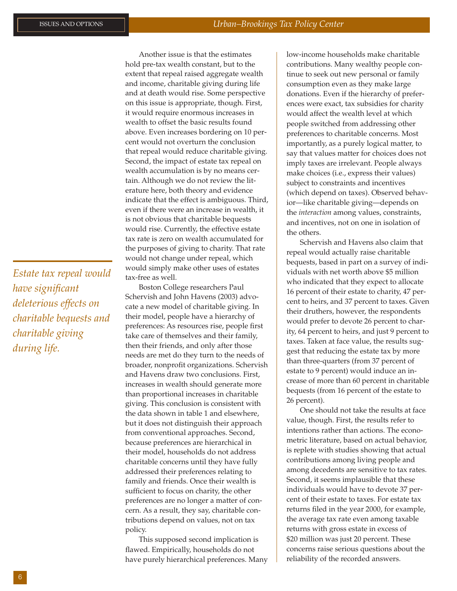*Estate tax repeal would have significant deleterious effects on charitable bequests and charitable giving during life.*

Another issue is that the estimates hold pre-tax wealth constant, but to the extent that repeal raised aggregate wealth and income, charitable giving during life and at death would rise. Some perspective on this issue is appropriate, though. First, it would require enormous increases in wealth to offset the basic results found above. Even increases bordering on 10 percent would not overturn the conclusion that repeal would reduce charitable giving. Second, the impact of estate tax repeal on wealth accumulation is by no means certain. Although we do not review the literature here, both theory and evidence indicate that the effect is ambiguous. Third, even if there were an increase in wealth, it is not obvious that charitable bequests would rise. Currently, the effective estate tax rate is zero on wealth accumulated for the purposes of giving to charity. That rate would not change under repeal, which would simply make other uses of estates tax-free as well.

Boston College researchers Paul Schervish and John Havens (2003) advocate a new model of charitable giving. In their model, people have a hierarchy of preferences: As resources rise, people first take care of themselves and their family, then their friends, and only after those needs are met do they turn to the needs of broader, nonprofit organizations. Schervish and Havens draw two conclusions. First, increases in wealth should generate more than proportional increases in charitable giving. This conclusion is consistent with the data shown in table 1 and elsewhere, but it does not distinguish their approach from conventional approaches. Second, because preferences are hierarchical in their model, households do not address charitable concerns until they have fully addressed their preferences relating to family and friends. Once their wealth is sufficient to focus on charity, the other preferences are no longer a matter of concern. As a result, they say, charitable contributions depend on values, not on tax policy.

This supposed second implication is flawed. Empirically, households do not have purely hierarchical preferences. Many low-income households make charitable contributions. Many wealthy people continue to seek out new personal or family consumption even as they make large donations. Even if the hierarchy of preferences were exact, tax subsidies for charity would affect the wealth level at which people switched from addressing other preferences to charitable concerns. Most importantly, as a purely logical matter, to say that values matter for choices does not imply taxes are irrelevant. People always make choices (i.e., express their values) subject to constraints and incentives (which depend on taxes). Observed behavior—like charitable giving—depends on the *interaction* among values, constraints, and incentives, not on one in isolation of the others.

Schervish and Havens also claim that repeal would actually raise charitable bequests, based in part on a survey of individuals with net worth above \$5 million who indicated that they expect to allocate 16 percent of their estate to charity, 47 percent to heirs, and 37 percent to taxes. Given their druthers, however, the respondents would prefer to devote 26 percent to charity, 64 percent to heirs, and just 9 percent to taxes. Taken at face value, the results suggest that reducing the estate tax by more than three-quarters (from 37 percent of estate to 9 percent) would induce an increase of more than 60 percent in charitable bequests (from 16 percent of the estate to 26 percent).

One should not take the results at face value, though. First, the results refer to intentions rather than actions. The econometric literature, based on actual behavior, is replete with studies showing that actual contributions among living people and among decedents are sensitive to tax rates. Second, it seems implausible that these individuals would have to devote 37 percent of their estate to taxes. For estate tax returns filed in the year 2000, for example, the average tax rate even among taxable returns with gross estate in excess of \$20 million was just 20 percent. These concerns raise serious questions about the reliability of the recorded answers.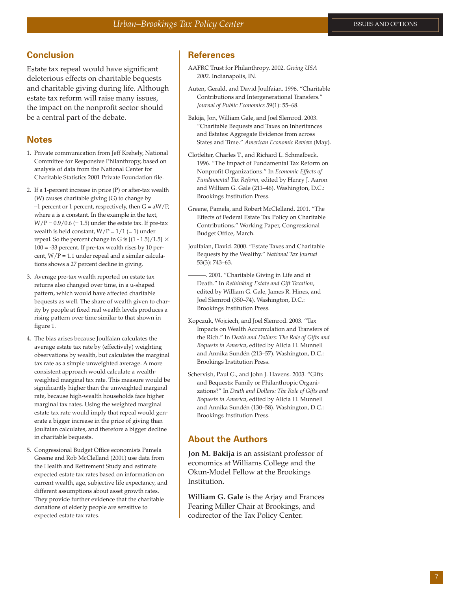# **Conclusion**

Estate tax repeal would have significant deleterious effects on charitable bequests and charitable giving during life. Although estate tax reform will raise many issues, the impact on the nonprofit sector should be a central part of the debate.

# **Notes**

- 1. Private communication from Jeff Krehely, National Committee for Responsive Philanthropy, based on analysis of data from the National Center for Charitable Statistics 2001 Private Foundation file.
- 2. If a 1-percent increase in price (P) or after-tax wealth (W) causes charitable giving (G) to change by  $-1$  percent or 1 percent, respectively, then  $G = aW/P$ , where a is a constant. In the example in the text,  $W/P = 0.9/0.6 (= 1.5)$  under the estate tax. If pre-tax wealth is held constant,  $W/P = 1/1 (= 1)$  under repeal. So the percent change in G is [(1 - 1.5)/1.5]  $\times$  $100 = -33$  percent. If pre-tax wealth rises by 10 percent,  $W/P = 1.1$  under repeal and a similar calculations shows a 27 percent decline in giving.
- 3. Average pre-tax wealth reported on estate tax returns also changed over time, in a u-shaped pattern, which would have affected charitable bequests as well. The share of wealth given to charity by people at fixed real wealth levels produces a rising pattern over time similar to that shown in figure 1.
- 4. The bias arises because Joulfaian calculates the average estate tax rate by (effectively) weighting observations by wealth, but calculates the marginal tax rate as a simple unweighted average. A more consistent approach would calculate a wealthweighted marginal tax rate. This measure would be significantly higher than the unweighted marginal rate, because high-wealth households face higher marginal tax rates. Using the weighted marginal estate tax rate would imply that repeal would generate a bigger increase in the price of giving than Joulfaian calculates, and therefore a bigger decline in charitable bequests.
- 5. Congressional Budget Office economists Pamela Greene and Rob McClelland (2001) use data from the Health and Retirement Study and estimate expected estate tax rates based on information on current wealth, age, subjective life expectancy, and different assumptions about asset growth rates. They provide further evidence that the charitable donations of elderly people are sensitive to expected estate tax rates.

#### **References**

- AAFRC Trust for Philanthropy. 2002. *Giving USA 2002*. Indianapolis, IN.
- Auten, Gerald, and David Joulfaian. 1996. "Charitable Contributions and Intergenerational Transfers." *Journal of Public Economics* 59(1): 55–68.
- Bakija, Jon, William Gale, and Joel Slemrod. 2003. "Charitable Bequests and Taxes on Inheritances and Estates: Aggregate Evidence from across States and Time." *American Economic Review* (May).
- Clotfelter, Charles T., and Richard L. Schmalbeck. 1996. "The Impact of Fundamental Tax Reform on Nonprofit Organizations." In *Economic Effects of Fundamental Tax Reform,* edited by Henry J. Aaron and William G. Gale (211–46). Washington, D.C.: Brookings Institution Press.
- Greene, Pamela, and Robert McClelland. 2001. "The Effects of Federal Estate Tax Policy on Charitable Contributions." Working Paper, Congressional Budget Office, March.
- Joulfaian, David. 2000. "Estate Taxes and Charitable Bequests by the Wealthy." *National Tax Journal* 53(3): 743–63.
	- -. 2001. "Charitable Giving in Life and at Death." In *Rethinking Estate and Gift Taxation*, edited by William G. Gale, James R. Hines, and Joel Slemrod (350–74). Washington, D.C.: Brookings Institution Press.
- Kopczuk, Wojciech, and Joel Slemrod. 2003. "Tax Impacts on Wealth Accumulation and Transfers of the Rich." In *Death and Dollars: The Role of Gifts and Bequests in America*, edited by Alicia H. Munnell and Annika Sundén (213–57). Washington, D.C.: Brookings Institution Press.
- Schervish, Paul G., and John J. Havens. 2003. "Gifts and Bequests: Family or Philanthropic Organizations?" In *Death and Dollars: The Role of Gifts and Bequests in America,* edited by Alicia H. Munnell and Annika Sundén (130–58). Washington, D.C.: Brookings Institution Press.

## **About the Authors**

**Jon M. Bakija** is an assistant professor of economics at Williams College and the Okun-Model Fellow at the Brookings Institution.

**William G. Gale** is the Arjay and Frances Fearing Miller Chair at Brookings, and codirector of the Tax Policy Center.